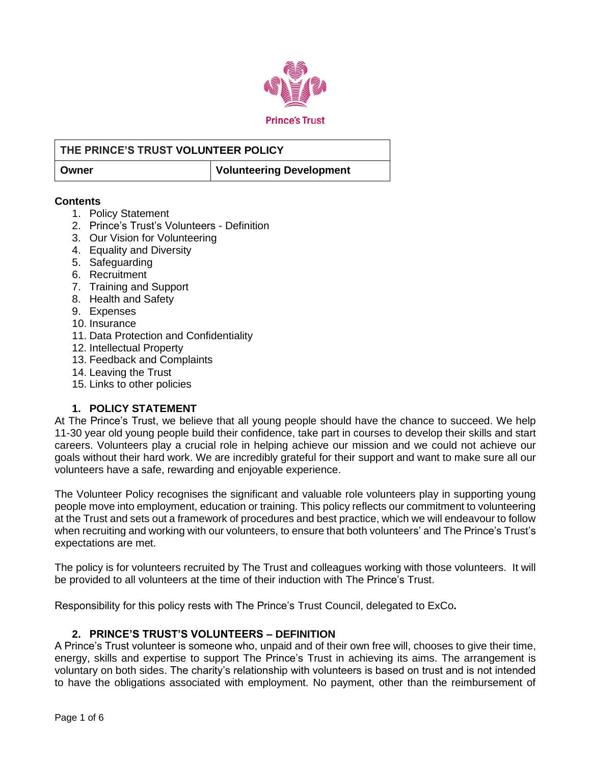

# **THE PRINCE'S TRUST VOLUNTEER POLICY Owner Volunteering Development**

#### **Contents**

- 1. Policy Statement
- 2. Prince's Trust's Volunteers Definition
- 3. Our Vision for Volunteering
- 4. Equality and Diversity
- 5. Safeguarding
- 6. Recruitment
- 7. Training and Support
- 8. Health and Safety
- 9. Expenses
- 10. Insurance
- 11. Data Protection and Confidentiality
- 12. Intellectual Property
- 13. Feedback and Complaints
- 14. Leaving the Trust
- 15. Links to other policies

# **1. POLICY STATEMENT**

At The Prince's Trust, we believe that all young people should have the chance to succeed. We help 11-30 year old young people build their confidence, take part in courses to develop their skills and start careers. Volunteers play a crucial role in helping achieve our mission and we could not achieve our goals without their hard work. We are incredibly grateful for their support and want to make sure all our volunteers have a safe, rewarding and enjoyable experience.

The Volunteer Policy recognises the significant and valuable role volunteers play in supporting young people move into employment, education or training. This policy reflects our commitment to volunteering at the Trust and sets out a framework of procedures and best practice, which we will endeavour to follow when recruiting and working with our volunteers, to ensure that both volunteers' and The Prince's Trust's expectations are met.

The policy is for volunteers recruited by The Trust and colleagues working with those volunteers. It will be provided to all volunteers at the time of their induction with The Prince's Trust.

Responsibility for this policy rests with The Prince's Trust Council, delegated to ExCo**.**

# **2. PRINCE'S TRUST'S VOLUNTEERS – DEFINITION**

A Prince's Trust volunteer is someone who, unpaid and of their own free will, chooses to give their time, energy, skills and expertise to support The Prince's Trust in achieving its aims. The arrangement is voluntary on both sides. The charity's relationship with volunteers is based on trust and is not intended to have the obligations associated with employment. No payment, other than the reimbursement of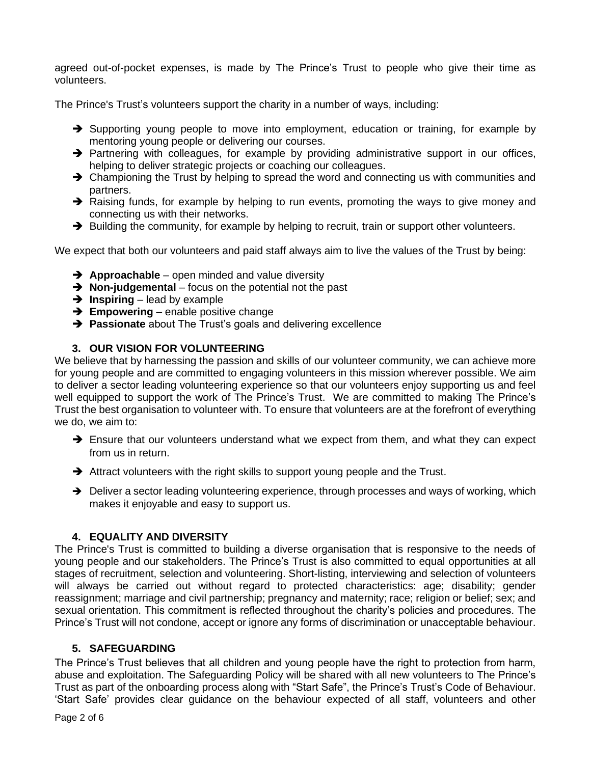agreed out-of-pocket expenses, is made by The Prince's Trust to people who give their time as volunteers.

The Prince's Trust's volunteers support the charity in a number of ways, including:

- ➔ Supporting young people to move into employment, education or training, for example by mentoring young people or delivering our courses.
- → Partnering with colleagues, for example by providing administrative support in our offices, helping to deliver strategic projects or coaching our colleagues.
- → Championing the Trust by helping to spread the word and connecting us with communities and partners.
- → Raising funds, for example by helping to run events, promoting the ways to give money and connecting us with their networks.
- → Building the community, for example by helping to recruit, train or support other volunteers.

We expect that both our volunteers and paid staff always aim to live the values of the Trust by being:

- ➔ **Approachable**  open minded and value diversity
- ➔ **Non-judgemental** focus on the potential not the past
- ➔ **Inspiring**  lead by example
- ➔ **Empowering** enable positive change
- ➔ **Passionate** about The Trust's goals and delivering excellence

#### **3. OUR VISION FOR VOLUNTEERING**

We believe that by harnessing the passion and skills of our volunteer community, we can achieve more for young people and are committed to engaging volunteers in this mission wherever possible. We aim to deliver a sector leading volunteering experience so that our volunteers enjoy supporting us and feel well equipped to support the work of The Prince's Trust. We are committed to making The Prince's Trust the best organisation to volunteer with. To ensure that volunteers are at the forefront of everything we do, we aim to:

- → Ensure that our volunteers understand what we expect from them, and what they can expect from us in return.
- ➔ Attract volunteers with the right skills to support young people and the Trust.
- → Deliver a sector leading volunteering experience, through processes and ways of working, which makes it enjoyable and easy to support us.

#### **4. EQUALITY AND DIVERSITY**

The Prince's Trust is committed to building a diverse organisation that is responsive to the needs of young people and our stakeholders. The Prince's Trust is also committed to equal opportunities at all stages of recruitment, selection and volunteering. Short-listing, interviewing and selection of volunteers will always be carried out without regard to protected characteristics: age; disability; gender reassignment; marriage and civil partnership; pregnancy and maternity; race; religion or belief; sex; and sexual orientation. This commitment is reflected throughout the charity's policies and procedures. The Prince's Trust will not condone, accept or ignore any forms of discrimination or unacceptable behaviour.

#### **5. SAFEGUARDING**

The Prince's Trust believes that all children and young people have the right to protection from harm, abuse and exploitation. The Safeguarding Policy will be shared with all new volunteers to The Prince's Trust as part of the onboarding process along with "Start Safe", the Prince's Trust's Code of Behaviour. 'Start Safe' provides clear guidance on the behaviour expected of all staff, volunteers and other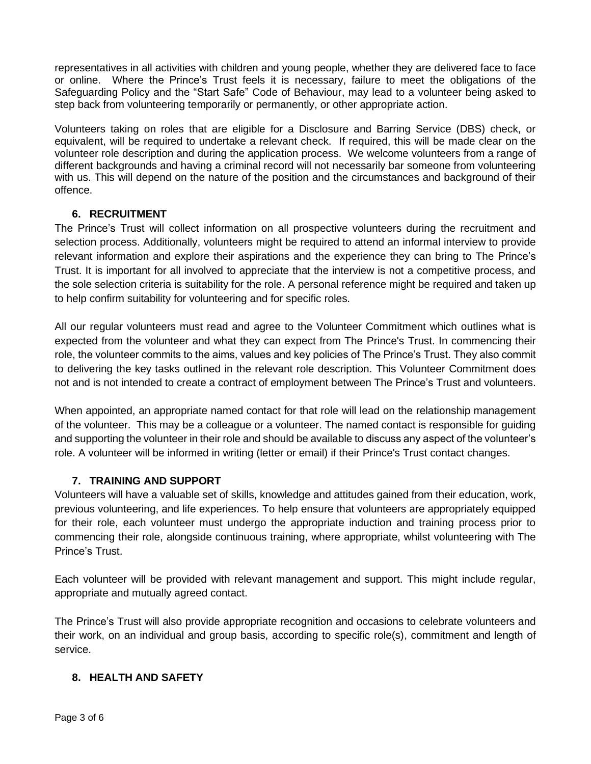representatives in all activities with children and young people, whether they are delivered face to face or online. Where the Prince's Trust feels it is necessary, failure to meet the obligations of the Safeguarding Policy and the "Start Safe" Code of Behaviour, may lead to a volunteer being asked to step back from volunteering temporarily or permanently, or other appropriate action.

Volunteers taking on roles that are eligible for a Disclosure and Barring Service (DBS) check, or equivalent, will be required to undertake a relevant check. If required, this will be made clear on the volunteer role description and during the application process. We welcome volunteers from a range of different backgrounds and having a criminal record will not necessarily bar someone from volunteering with us. This will depend on the nature of the position and the circumstances and background of their offence.

# **6. RECRUITMENT**

The Prince's Trust will collect information on all prospective volunteers during the recruitment and selection process. Additionally, volunteers might be required to attend an informal interview to provide relevant information and explore their aspirations and the experience they can bring to The Prince's Trust. It is important for all involved to appreciate that the interview is not a competitive process, and the sole selection criteria is suitability for the role. A personal reference might be required and taken up to help confirm suitability for volunteering and for specific roles.

All our regular volunteers must read and agree to the Volunteer Commitment which outlines what is expected from the volunteer and what they can expect from The Prince's Trust. In commencing their role, the volunteer commits to the aims, values and key policies of The Prince's Trust. They also commit to delivering the key tasks outlined in the relevant role description. This Volunteer Commitment does not and is not intended to create a contract of employment between The Prince's Trust and volunteers.

When appointed, an appropriate named contact for that role will lead on the relationship management of the volunteer. This may be a colleague or a volunteer. The named contact is responsible for guiding and supporting the volunteer in their role and should be available to discuss any aspect of the volunteer's role. A volunteer will be informed in writing (letter or email) if their Prince's Trust contact changes.

# **7. TRAINING AND SUPPORT**

Volunteers will have a valuable set of skills, knowledge and attitudes gained from their education, work, previous volunteering, and life experiences. To help ensure that volunteers are appropriately equipped for their role, each volunteer must undergo the appropriate induction and training process prior to commencing their role, alongside continuous training, where appropriate, whilst volunteering with The Prince's Trust.

Each volunteer will be provided with relevant management and support. This might include regular, appropriate and mutually agreed contact.

The Prince's Trust will also provide appropriate recognition and occasions to celebrate volunteers and their work, on an individual and group basis, according to specific role(s), commitment and length of service.

# **8. HEALTH AND SAFETY**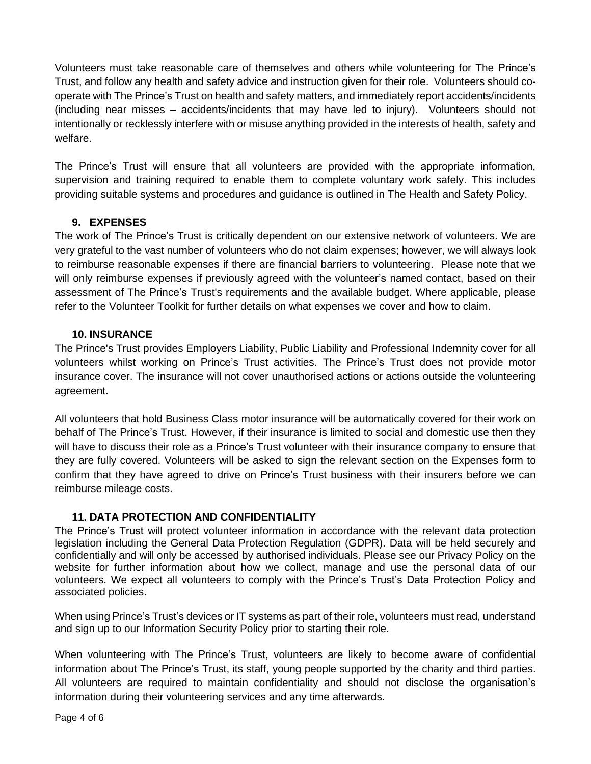Volunteers must take reasonable care of themselves and others while volunteering for The Prince's Trust, and follow any health and safety advice and instruction given for their role. Volunteers should cooperate with The Prince's Trust on health and safety matters, and immediately report accidents/incidents (including near misses – accidents/incidents that may have led to injury). Volunteers should not intentionally or recklessly interfere with or misuse anything provided in the interests of health, safety and welfare.

The Prince's Trust will ensure that all volunteers are provided with the appropriate information, supervision and training required to enable them to complete voluntary work safely. This includes providing suitable systems and procedures and guidance is outlined in The Health and Safety Policy.

#### **9. EXPENSES**

The work of The Prince's Trust is critically dependent on our extensive network of volunteers. We are very grateful to the vast number of volunteers who do not claim expenses; however, we will always look to reimburse reasonable expenses if there are financial barriers to volunteering. Please note that we will only reimburse expenses if previously agreed with the volunteer's named contact, based on their assessment of The Prince's Trust's requirements and the available budget. Where applicable, please refer to the Volunteer Toolkit for further details on what expenses we cover and how to claim.

#### **10. INSURANCE**

The Prince's Trust provides Employers Liability, Public Liability and Professional Indemnity cover for all volunteers whilst working on Prince's Trust activities. The Prince's Trust does not provide motor insurance cover. The insurance will not cover unauthorised actions or actions outside the volunteering agreement.

All volunteers that hold Business Class motor insurance will be automatically covered for their work on behalf of The Prince's Trust. However, if their insurance is limited to social and domestic use then they will have to discuss their role as a Prince's Trust volunteer with their insurance company to ensure that they are fully covered. Volunteers will be asked to sign the relevant section on the Expenses form to confirm that they have agreed to drive on Prince's Trust business with their insurers before we can reimburse mileage costs.

# **11. DATA PROTECTION AND CONFIDENTIALITY**

The Prince's Trust will protect volunteer information in accordance with the relevant data protection legislation including the General Data Protection Regulation (GDPR). Data will be held securely and confidentially and will only be accessed by authorised individuals. Please see our Privacy Policy on the website for further information about how we collect, manage and use the personal data of our volunteers. We expect all volunteers to comply with the Prince's Trust's Data Protection Policy and associated policies.

When using Prince's Trust's devices or IT systems as part of their role, volunteers must read, understand and sign up to our Information Security Policy prior to starting their role.

When volunteering with The Prince's Trust, volunteers are likely to become aware of confidential information about The Prince's Trust, its staff, young people supported by the charity and third parties. All volunteers are required to maintain confidentiality and should not disclose the organisation's information during their volunteering services and any time afterwards.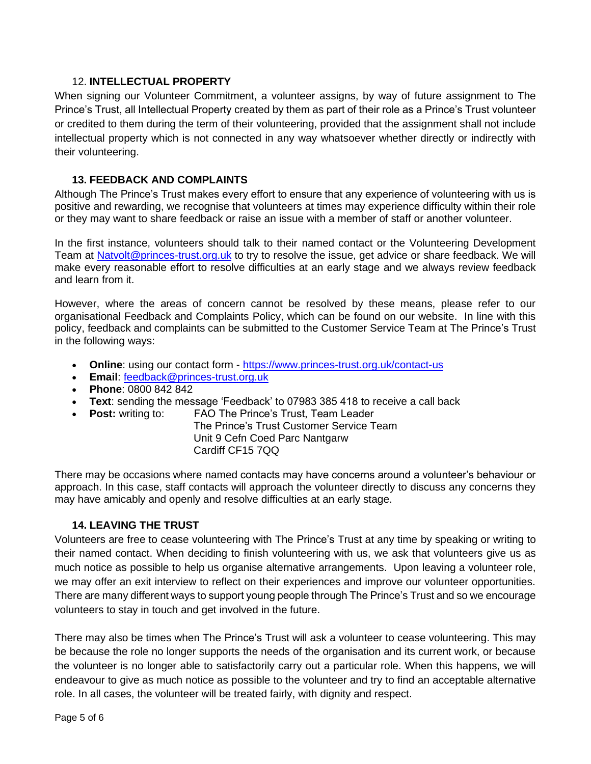#### 12. **INTELLECTUAL PROPERTY**

When signing our Volunteer Commitment, a volunteer assigns, by way of future assignment to The Prince's Trust, all Intellectual Property created by them as part of their role as a Prince's Trust volunteer or credited to them during the term of their volunteering, provided that the assignment shall not include intellectual property which is not connected in any way whatsoever whether directly or indirectly with their volunteering.

### **13. FEEDBACK AND COMPLAINTS**

Although The Prince's Trust makes every effort to ensure that any experience of volunteering with us is positive and rewarding, we recognise that volunteers at times may experience difficulty within their role or they may want to share feedback or raise an issue with a member of staff or another volunteer.

In the first instance, volunteers should talk to their named contact or the Volunteering Development Team at [Natvolt@princes-trust.org.uk](mailto:Natvolt@princes-trust.org.uk) to try to resolve the issue, get advice or share feedback. We will make every reasonable effort to resolve difficulties at an early stage and we always review feedback and learn from it.

However, where the areas of concern cannot be resolved by these means, please refer to our organisational Feedback and Complaints Policy, which can be found on our website. In line with this policy, feedback and complaints can be submitted to the Customer Service Team at The Prince's Trust in the following ways:

- **Online**: using our contact form <https://www.princes-trust.org.uk/contact-us>
- **Email**: [feedback@princes-trust.org.uk](mailto:feedback@princes-trust.org.uk)
- **Phone**: 0800 842 842
- **Text**: sending the message 'Feedback' to 07983 385 418 to receive a call back
- **Post:** writing to: FAO The Prince's Trust, Team Leader
	- The Prince's Trust Customer Service Team Unit 9 Cefn Coed Parc Nantgarw Cardiff CF15 7QQ

There may be occasions where named contacts may have concerns around a volunteer's behaviour or approach. In this case, staff contacts will approach the volunteer directly to discuss any concerns they may have amicably and openly and resolve difficulties at an early stage.

# **14. LEAVING THE TRUST**

Volunteers are free to cease volunteering with The Prince's Trust at any time by speaking or writing to their named contact. When deciding to finish volunteering with us, we ask that volunteers give us as much notice as possible to help us organise alternative arrangements. Upon leaving a volunteer role, we may offer an exit interview to reflect on their experiences and improve our volunteer opportunities. There are many different ways to support young people through The Prince's Trust and so we encourage volunteers to stay in touch and get involved in the future.

There may also be times when The Prince's Trust will ask a volunteer to cease volunteering. This may be because the role no longer supports the needs of the organisation and its current work, or because the volunteer is no longer able to satisfactorily carry out a particular role. When this happens, we will endeavour to give as much notice as possible to the volunteer and try to find an acceptable alternative role. In all cases, the volunteer will be treated fairly, with dignity and respect.